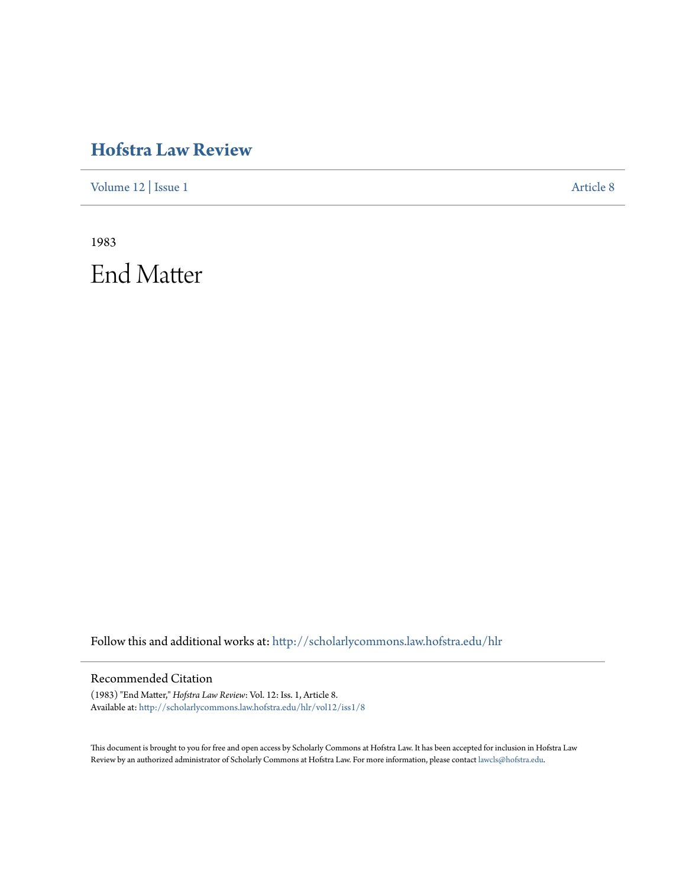### **[Hofstra Law Review](http://scholarlycommons.law.hofstra.edu/hlr?utm_source=scholarlycommons.law.hofstra.edu%2Fhlr%2Fvol12%2Fiss1%2F8&utm_medium=PDF&utm_campaign=PDFCoverPages)**

[Volume 12](http://scholarlycommons.law.hofstra.edu/hlr/vol12?utm_source=scholarlycommons.law.hofstra.edu%2Fhlr%2Fvol12%2Fiss1%2F8&utm_medium=PDF&utm_campaign=PDFCoverPages) | [Issue 1](http://scholarlycommons.law.hofstra.edu/hlr/vol12/iss1?utm_source=scholarlycommons.law.hofstra.edu%2Fhlr%2Fvol12%2Fiss1%2F8&utm_medium=PDF&utm_campaign=PDFCoverPages) [Article 8](http://scholarlycommons.law.hofstra.edu/hlr/vol12/iss1/8?utm_source=scholarlycommons.law.hofstra.edu%2Fhlr%2Fvol12%2Fiss1%2F8&utm_medium=PDF&utm_campaign=PDFCoverPages)

1983 End Matter

Follow this and additional works at: [http://scholarlycommons.law.hofstra.edu/hlr](http://scholarlycommons.law.hofstra.edu/hlr?utm_source=scholarlycommons.law.hofstra.edu%2Fhlr%2Fvol12%2Fiss1%2F8&utm_medium=PDF&utm_campaign=PDFCoverPages)

#### Recommended Citation

(1983) "End Matter," *Hofstra Law Review*: Vol. 12: Iss. 1, Article 8. Available at: [http://scholarlycommons.law.hofstra.edu/hlr/vol12/iss1/8](http://scholarlycommons.law.hofstra.edu/hlr/vol12/iss1/8?utm_source=scholarlycommons.law.hofstra.edu%2Fhlr%2Fvol12%2Fiss1%2F8&utm_medium=PDF&utm_campaign=PDFCoverPages)

This document is brought to you for free and open access by Scholarly Commons at Hofstra Law. It has been accepted for inclusion in Hofstra Law Review by an authorized administrator of Scholarly Commons at Hofstra Law. For more information, please contact [lawcls@hofstra.edu](mailto:lawcls@hofstra.edu).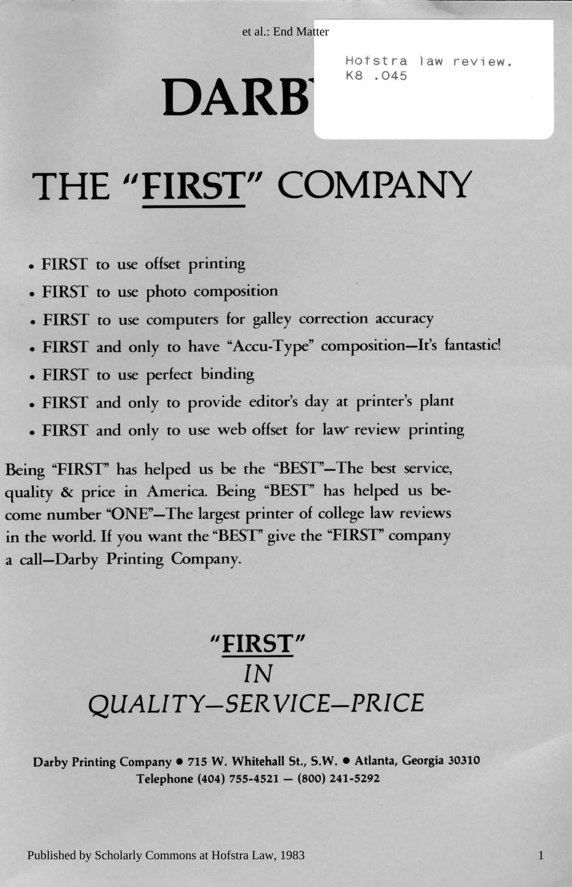et al.: End Matter

## 0 3031 a Georgi , Atlanta • . S.W , St. l Whitehal . W5 71 • y Compan g Printin y Darbourg Printin y Darbourg <br>2003 : Maria e Santa e Santa e Santa e Santa e Santa e Santa e Santa e Santa e Santa e Santa e Santa e Santa e DARB<sup>1</sup>

Hofstra law review. K8.045

## THE "FIRST" COMPANY

- FIRST to use offset printing
- · FIRST to use photo composition
- . FIRST to use computers for galley correction accuracy
- FIRST and only to have "Accu-Type" composition-It's fantastic!
- FIRST to use perfect binding
- FIRST and only to provide editor's day at printer's plant
- . FIRST and only to use web offset for law review printing

y accurac n correctio y galle r fo s computer e us o t T FIRS • in the world. If you want the "BEST" give the "FIRST" company a call-Darby Printing Company. come number "ONE"-The largest printer of college law reviews quality & price in America. Being "BEST" has helped us be-Being "FIRST" has helped us be the "BEST"-The best service,

# **"FIRST"**<br>
IN<br>
QUALITY-SERVICE-PRICE

Darby Printing Company • 715 W. Whitehall St., S.W. • Atlanta, Georgia 30310<br>Telephone (404) 755-4521 – (800) 241-5292